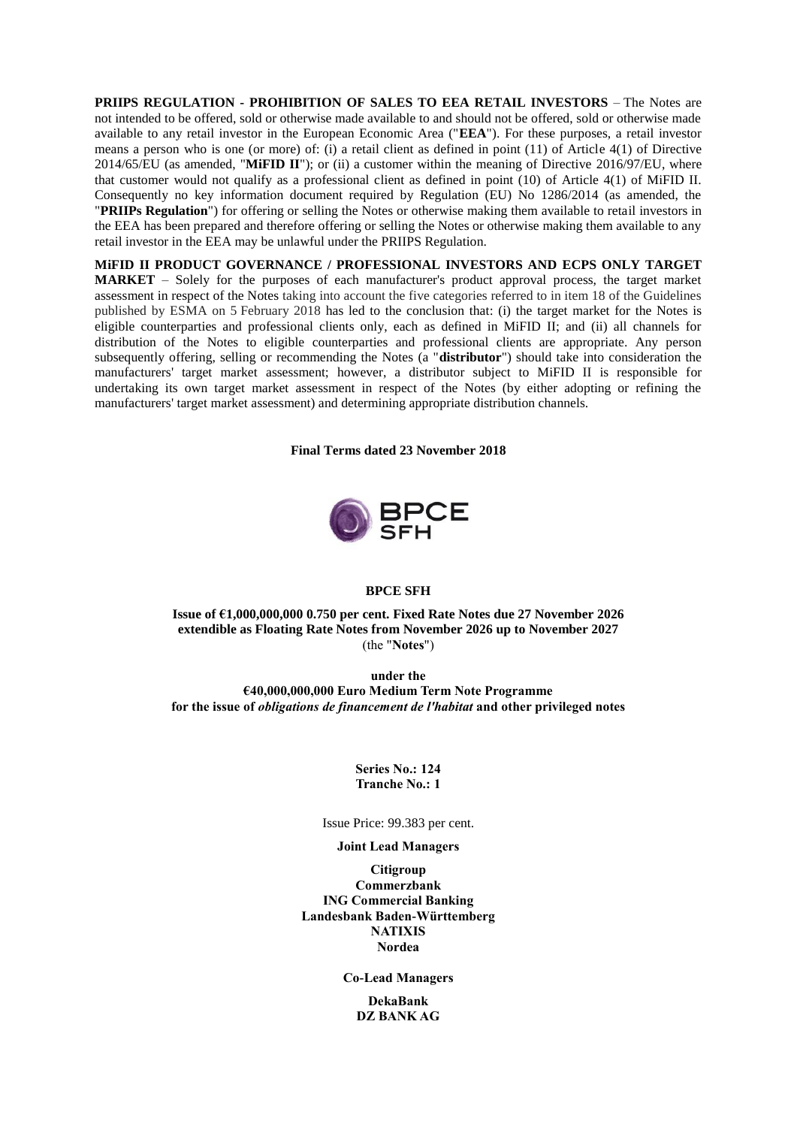**PRIIPS REGULATION - PROHIBITION OF SALES TO EEA RETAIL INVESTORS** – The Notes are not intended to be offered, sold or otherwise made available to and should not be offered, sold or otherwise made available to any retail investor in the European Economic Area ("**EEA**"). For these purposes, a retail investor means a person who is one (or more) of: (i) a retail client as defined in point (11) of Article 4(1) of Directive 2014/65/EU (as amended, "**MiFID II**"); or (ii) a customer within the meaning of Directive 2016/97/EU, where that customer would not qualify as a professional client as defined in point (10) of Article 4(1) of MiFID II. Consequently no key information document required by Regulation (EU) No 1286/2014 (as amended, the "**PRIIPs Regulation**") for offering or selling the Notes or otherwise making them available to retail investors in the EEA has been prepared and therefore offering or selling the Notes or otherwise making them available to any retail investor in the EEA may be unlawful under the PRIIPS Regulation.

**MiFID II PRODUCT GOVERNANCE / PROFESSIONAL INVESTORS AND ECPS ONLY TARGET MARKET** – Solely for the purposes of each manufacturer's product approval process, the target market assessment in respect of the Notes taking into account the five categories referred to in item 18 of the Guidelines published by ESMA on 5 February 2018 has led to the conclusion that: (i) the target market for the Notes is eligible counterparties and professional clients only, each as defined in MiFID II; and (ii) all channels for distribution of the Notes to eligible counterparties and professional clients are appropriate. Any person subsequently offering, selling or recommending the Notes (a "**distributor**") should take into consideration the manufacturers' target market assessment; however, a distributor subject to MiFID II is responsible for undertaking its own target market assessment in respect of the Notes (by either adopting or refining the manufacturers' target market assessment) and determining appropriate distribution channels.

**Final Terms dated 23 November 2018**



### **BPCE SFH**

**Issue of €1,000,000,000 0.750 per cent. Fixed Rate Notes due 27 November 2026 extendible as Floating Rate Notes from November 2026 up to November 2027** (the "**Notes**")

**under the €40,000,000,000 Euro Medium Term Note Programme for the issue of** *obligations de financement de l'habitat* **and other privileged notes**

> **Series No.: 124 Tranche No.: 1**

Issue Price: 99.383 per cent.

## **Joint Lead Managers**

**Citigroup Commerzbank ING Commercial Banking Landesbank Baden-Württemberg NATIXIS Nordea**

**Co-Lead Managers**

**DekaBank DZ BANK AG**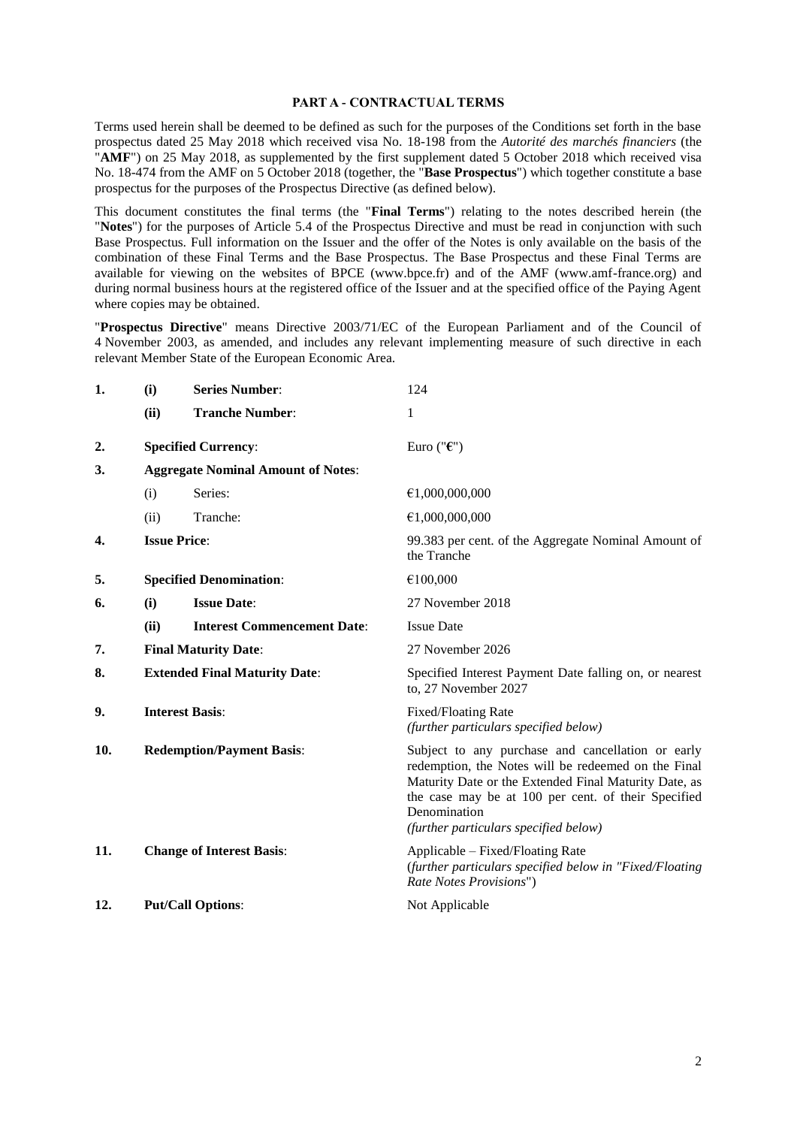### **PART A - CONTRACTUAL TERMS**

Terms used herein shall be deemed to be defined as such for the purposes of the Conditions set forth in the base prospectus dated 25 May 2018 which received visa No. 18-198 from the *Autorité des marchés financiers* (the "**AMF**") on 25 May 2018, as supplemented by the first supplement dated 5 October 2018 which received visa No. 18-474 from the AMF on 5 October 2018 (together, the "**Base Prospectus**") which together constitute a base prospectus for the purposes of the Prospectus Directive (as defined below).

This document constitutes the final terms (the "**Final Terms**") relating to the notes described herein (the "**Notes**") for the purposes of Article 5.4 of the Prospectus Directive and must be read in conjunction with such Base Prospectus. Full information on the Issuer and the offer of the Notes is only available on the basis of the combination of these Final Terms and the Base Prospectus. The Base Prospectus and these Final Terms are available for viewing on the websites of BPCE (www.bpce.fr) and of the AMF (www.amf-france.org) and during normal business hours at the registered office of the Issuer and at the specified office of the Paying Agent where copies may be obtained.

"**Prospectus Directive**" means Directive 2003/71/EC of the European Parliament and of the Council of 4 November 2003, as amended, and includes any relevant implementing measure of such directive in each relevant Member State of the European Economic Area.

| (i)                                  | <b>Series Number:</b>              | 124                                                                                                                                                                                                                                                                               |
|--------------------------------------|------------------------------------|-----------------------------------------------------------------------------------------------------------------------------------------------------------------------------------------------------------------------------------------------------------------------------------|
| (ii)                                 | <b>Tranche Number:</b>             | 1                                                                                                                                                                                                                                                                                 |
|                                      |                                    | Euro (" $\epsilon$ ")                                                                                                                                                                                                                                                             |
|                                      |                                    |                                                                                                                                                                                                                                                                                   |
| (i)                                  | Series:                            | €1,000,000,000                                                                                                                                                                                                                                                                    |
| (ii)                                 | Tranche:                           | €1,000,000,000                                                                                                                                                                                                                                                                    |
|                                      |                                    | 99.383 per cent. of the Aggregate Nominal Amount of<br>the Tranche                                                                                                                                                                                                                |
|                                      |                                    | €100,000                                                                                                                                                                                                                                                                          |
| (i)                                  | <b>Issue Date:</b>                 | 27 November 2018                                                                                                                                                                                                                                                                  |
| (ii)                                 | <b>Interest Commencement Date:</b> | <b>Issue Date</b>                                                                                                                                                                                                                                                                 |
|                                      |                                    | 27 November 2026                                                                                                                                                                                                                                                                  |
| <b>Extended Final Maturity Date:</b> |                                    | Specified Interest Payment Date falling on, or nearest<br>to, 27 November 2027                                                                                                                                                                                                    |
| <b>Interest Basis:</b>               |                                    | Fixed/Floating Rate<br>(further particulars specified below)                                                                                                                                                                                                                      |
| <b>Redemption/Payment Basis:</b>     |                                    | Subject to any purchase and cancellation or early<br>redemption, the Notes will be redeemed on the Final<br>Maturity Date or the Extended Final Maturity Date, as<br>the case may be at 100 per cent. of their Specified<br>Denomination<br>(further particulars specified below) |
|                                      |                                    | Applicable – Fixed/Floating Rate<br>(further particulars specified below in "Fixed/Floating<br>Rate Notes Provisions")                                                                                                                                                            |
|                                      |                                    | Not Applicable                                                                                                                                                                                                                                                                    |
|                                      |                                    | <b>Specified Currency:</b><br><b>Aggregate Nominal Amount of Notes:</b><br><b>Issue Price:</b><br><b>Specified Denomination:</b><br><b>Final Maturity Date:</b><br><b>Change of Interest Basis:</b><br><b>Put/Call Options:</b>                                                   |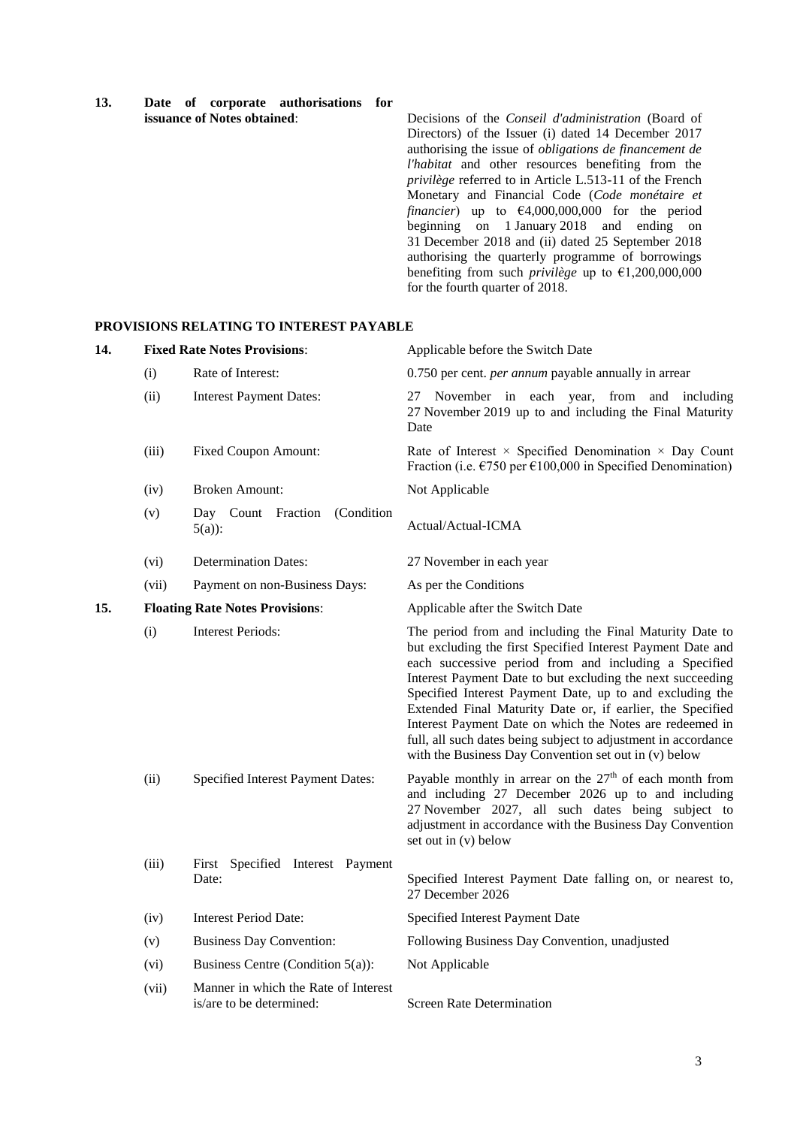| 13. |  |                                    | Date of corporate authorisations for |  |
|-----|--|------------------------------------|--------------------------------------|--|
|     |  | <b>issuance of Notes obtained:</b> |                                      |  |

Decisions of the *Conseil d'administration* (Board of Directors) of the Issuer (i) dated 14 December 2017 authorising the issue of *obligations de financement de l'habitat* and other resources benefiting from the *privilège* referred to in Article L.513-11 of the French Monetary and Financial Code (*Code monétaire et financier*) up to €4,000,000,000 for the period beginning on 1 January 2018 and ending on 31 December 2018 and (ii) dated 25 September 2018 authorising the quarterly programme of borrowings benefiting from such *privilège* up to  $\epsilon$ 1,200,000,000 for the fourth quarter of 2018.

## **PROVISIONS RELATING TO INTEREST PAYABLE**

| 14. |       | <b>Fixed Rate Notes Provisions:</b>                              | Applicable before the Switch Date                                                                                                                                                                                                                                                                                                                                                                                                                                                                                                                               |
|-----|-------|------------------------------------------------------------------|-----------------------------------------------------------------------------------------------------------------------------------------------------------------------------------------------------------------------------------------------------------------------------------------------------------------------------------------------------------------------------------------------------------------------------------------------------------------------------------------------------------------------------------------------------------------|
|     | (i)   | Rate of Interest:                                                | 0.750 per cent. <i>per annum</i> payable annually in arrear                                                                                                                                                                                                                                                                                                                                                                                                                                                                                                     |
|     | (ii)  | <b>Interest Payment Dates:</b>                                   | 27 November in each year, from and including<br>27 November 2019 up to and including the Final Maturity<br>Date                                                                                                                                                                                                                                                                                                                                                                                                                                                 |
|     | (iii) | <b>Fixed Coupon Amount:</b>                                      | Rate of Interest $\times$ Specified Denomination $\times$ Day Count<br>Fraction (i.e. $\epsilon$ 750 per $\epsilon$ 100,000 in Specified Denomination)                                                                                                                                                                                                                                                                                                                                                                                                          |
|     | (iv)  | <b>Broken Amount:</b>                                            | Not Applicable                                                                                                                                                                                                                                                                                                                                                                                                                                                                                                                                                  |
|     | (v)   | Day Count Fraction<br>(Condition<br>$5(a)$ :                     | Actual/Actual-ICMA                                                                                                                                                                                                                                                                                                                                                                                                                                                                                                                                              |
|     | (vi)  | <b>Determination Dates:</b>                                      | 27 November in each year                                                                                                                                                                                                                                                                                                                                                                                                                                                                                                                                        |
|     | (vii) | Payment on non-Business Days:                                    | As per the Conditions                                                                                                                                                                                                                                                                                                                                                                                                                                                                                                                                           |
| 15. |       | <b>Floating Rate Notes Provisions:</b>                           | Applicable after the Switch Date                                                                                                                                                                                                                                                                                                                                                                                                                                                                                                                                |
|     | (i)   | <b>Interest Periods:</b>                                         | The period from and including the Final Maturity Date to<br>but excluding the first Specified Interest Payment Date and<br>each successive period from and including a Specified<br>Interest Payment Date to but excluding the next succeeding<br>Specified Interest Payment Date, up to and excluding the<br>Extended Final Maturity Date or, if earlier, the Specified<br>Interest Payment Date on which the Notes are redeemed in<br>full, all such dates being subject to adjustment in accordance<br>with the Business Day Convention set out in (v) below |
|     | (ii)  | <b>Specified Interest Payment Dates:</b>                         | Payable monthly in arrear on the $27th$ of each month from<br>and including 27 December 2026 up to and including<br>27 November 2027, all such dates being subject to<br>adjustment in accordance with the Business Day Convention<br>set out in (v) below                                                                                                                                                                                                                                                                                                      |
|     | (iii) | First Specified Interest Payment<br>Date:                        | Specified Interest Payment Date falling on, or nearest to,<br>27 December 2026                                                                                                                                                                                                                                                                                                                                                                                                                                                                                  |
|     | (iv)  | <b>Interest Period Date:</b>                                     | Specified Interest Payment Date                                                                                                                                                                                                                                                                                                                                                                                                                                                                                                                                 |
|     | (v)   | <b>Business Day Convention:</b>                                  | Following Business Day Convention, unadjusted                                                                                                                                                                                                                                                                                                                                                                                                                                                                                                                   |
|     | (vi)  | Business Centre (Condition 5(a)):                                | Not Applicable                                                                                                                                                                                                                                                                                                                                                                                                                                                                                                                                                  |
|     | (vii) | Manner in which the Rate of Interest<br>is/are to be determined: | <b>Screen Rate Determination</b>                                                                                                                                                                                                                                                                                                                                                                                                                                                                                                                                |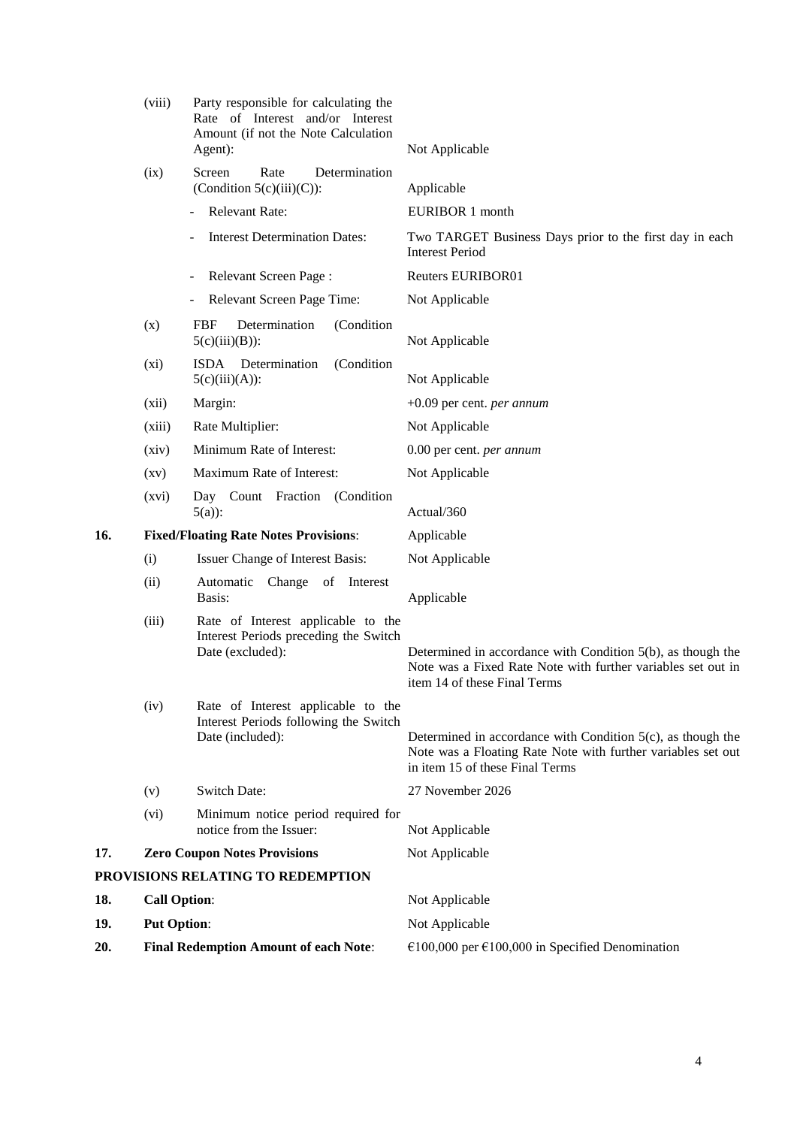|     | (viii)              | Party responsible for calculating the<br>Rate of Interest and/or Interest<br>Amount (if not the Note Calculation<br>Agent): | Not Applicable                                                                                                                                                    |
|-----|---------------------|-----------------------------------------------------------------------------------------------------------------------------|-------------------------------------------------------------------------------------------------------------------------------------------------------------------|
|     | (ix)                | Rate<br>Screen<br>Determination<br>(Condition $5(c)(iii)(C)$ ):                                                             | Applicable                                                                                                                                                        |
|     |                     | Relevant Rate:                                                                                                              | EURIBOR 1 month                                                                                                                                                   |
|     |                     | <b>Interest Determination Dates:</b>                                                                                        | Two TARGET Business Days prior to the first day in each<br><b>Interest Period</b>                                                                                 |
|     |                     | Relevant Screen Page:                                                                                                       | <b>Reuters EURIBOR01</b>                                                                                                                                          |
|     |                     | Relevant Screen Page Time:                                                                                                  | Not Applicable                                                                                                                                                    |
|     | (x)                 | Determination<br>(Condition<br>FBF<br>$5(c)(iii)(B))$ :                                                                     | Not Applicable                                                                                                                                                    |
|     | (xi)                | ISDA Determination<br>(Condition<br>$5(c)(iii)(A))$ :                                                                       | Not Applicable                                                                                                                                                    |
|     | (xii)               | Margin:                                                                                                                     | $+0.09$ per cent. <i>per annum</i>                                                                                                                                |
|     | (xiii)              | Rate Multiplier:                                                                                                            | Not Applicable                                                                                                                                                    |
|     | (xiv)               | Minimum Rate of Interest:                                                                                                   | 0.00 per cent. per annum                                                                                                                                          |
|     | (xv)                | Maximum Rate of Interest:                                                                                                   | Not Applicable                                                                                                                                                    |
|     | (xvi)               | Day Count Fraction (Condition<br>$5(a)$ :                                                                                   | Actual/360                                                                                                                                                        |
| 16. |                     | <b>Fixed/Floating Rate Notes Provisions:</b>                                                                                | Applicable                                                                                                                                                        |
|     | (i)                 | Issuer Change of Interest Basis:                                                                                            | Not Applicable                                                                                                                                                    |
|     | (ii)                | Automatic<br>Change of Interest<br>Basis:                                                                                   | Applicable                                                                                                                                                        |
|     | (iii)               | Rate of Interest applicable to the<br>Interest Periods preceding the Switch<br>Date (excluded):                             | Determined in accordance with Condition 5(b), as though the<br>Note was a Fixed Rate Note with further variables set out in<br>item 14 of these Final Terms       |
|     | (iv)                | Rate of Interest applicable to the<br>Interest Periods following the Switch<br>Date (included):                             | Determined in accordance with Condition $5(c)$ , as though the<br>Note was a Floating Rate Note with further variables set out<br>in item 15 of these Final Terms |
|     | (v)                 | Switch Date:                                                                                                                | 27 November 2026                                                                                                                                                  |
|     | (vi)                | Minimum notice period required for<br>notice from the Issuer:                                                               | Not Applicable                                                                                                                                                    |
| 17. |                     | <b>Zero Coupon Notes Provisions</b>                                                                                         | Not Applicable                                                                                                                                                    |
|     |                     | PROVISIONS RELATING TO REDEMPTION                                                                                           |                                                                                                                                                                   |
| 18. | <b>Call Option:</b> |                                                                                                                             | Not Applicable                                                                                                                                                    |
| 19. | <b>Put Option:</b>  |                                                                                                                             | Not Applicable                                                                                                                                                    |
| 20. |                     | <b>Final Redemption Amount of each Note:</b>                                                                                | €100,000 per €100,000 in Specified Denomination                                                                                                                   |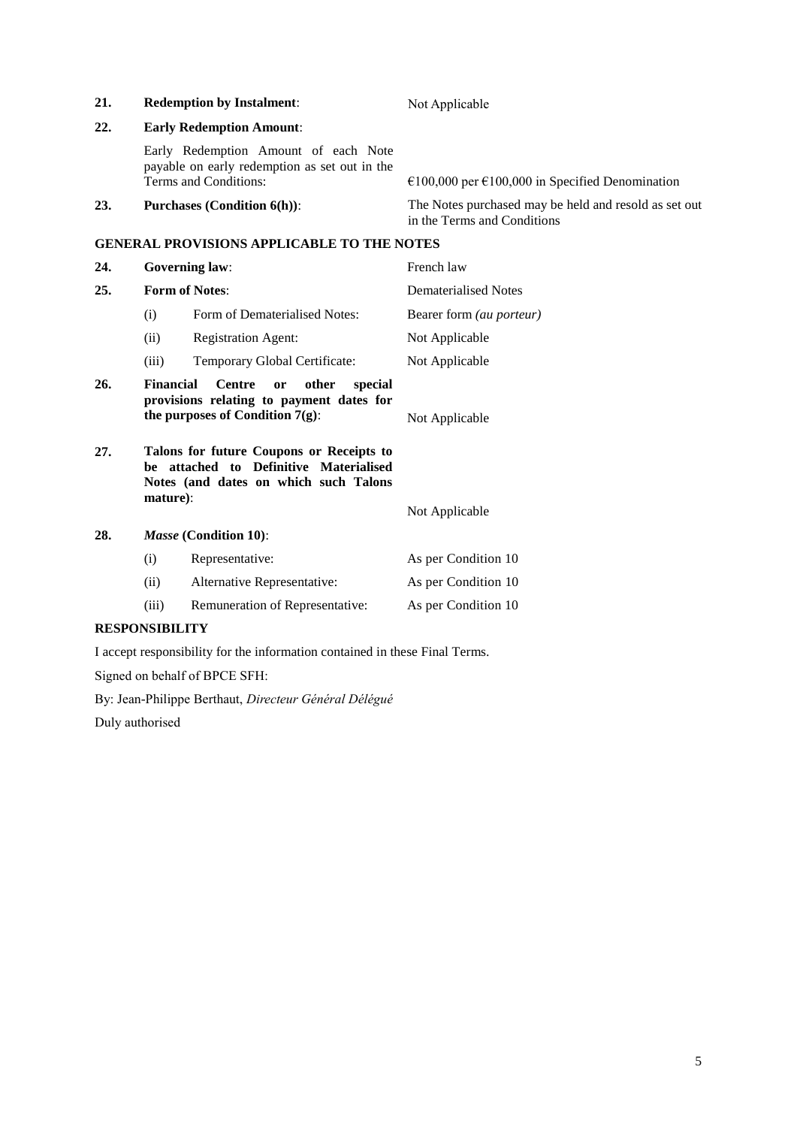| 21. | <b>Redemption by Instalment:</b>                                                                                                              |                                                                                                                | Not Applicable                                                                       |  |  |
|-----|-----------------------------------------------------------------------------------------------------------------------------------------------|----------------------------------------------------------------------------------------------------------------|--------------------------------------------------------------------------------------|--|--|
| 22. |                                                                                                                                               | <b>Early Redemption Amount:</b>                                                                                |                                                                                      |  |  |
|     |                                                                                                                                               | Early Redemption Amount of each Note<br>payable on early redemption as set out in the<br>Terms and Conditions: | €100,000 per €100,000 in Specified Denomination                                      |  |  |
| 23. | <b>Purchases (Condition 6(h)):</b>                                                                                                            |                                                                                                                | The Notes purchased may be held and resold as set out<br>in the Terms and Conditions |  |  |
|     |                                                                                                                                               | <b>GENERAL PROVISIONS APPLICABLE TO THE NOTES</b>                                                              |                                                                                      |  |  |
| 24. |                                                                                                                                               | <b>Governing law:</b>                                                                                          | French law                                                                           |  |  |
| 25. |                                                                                                                                               | <b>Form of Notes:</b>                                                                                          | <b>Dematerialised Notes</b>                                                          |  |  |
|     | (i)                                                                                                                                           | Form of Dematerialised Notes:                                                                                  | Bearer form (au porteur)                                                             |  |  |
|     | (ii)                                                                                                                                          | <b>Registration Agent:</b>                                                                                     | Not Applicable                                                                       |  |  |
|     | (iii)                                                                                                                                         | Temporary Global Certificate:                                                                                  | Not Applicable                                                                       |  |  |
| 26. | <b>Financial</b><br><b>Centre</b><br>other<br>special<br>or<br>provisions relating to payment dates for<br>the purposes of Condition $7(g)$ : |                                                                                                                | Not Applicable                                                                       |  |  |
| 27. | Talons for future Coupons or Receipts to<br>be attached to Definitive Materialised<br>Notes (and dates on which such Talons<br>mature):       |                                                                                                                |                                                                                      |  |  |
|     |                                                                                                                                               |                                                                                                                | Not Applicable                                                                       |  |  |
| 28. |                                                                                                                                               | Masse (Condition 10):                                                                                          |                                                                                      |  |  |
|     | (i)                                                                                                                                           | Representative:                                                                                                | As per Condition 10                                                                  |  |  |
|     | (ii)                                                                                                                                          | Alternative Representative:                                                                                    | As per Condition 10                                                                  |  |  |

(iii) Remuneration of Representative: As per Condition 10

# **RESPONSIBILITY**

I accept responsibility for the information contained in these Final Terms.

Signed on behalf of BPCE SFH:

By: Jean-Philippe Berthaut, *Directeur Général Délégué*

Duly authorised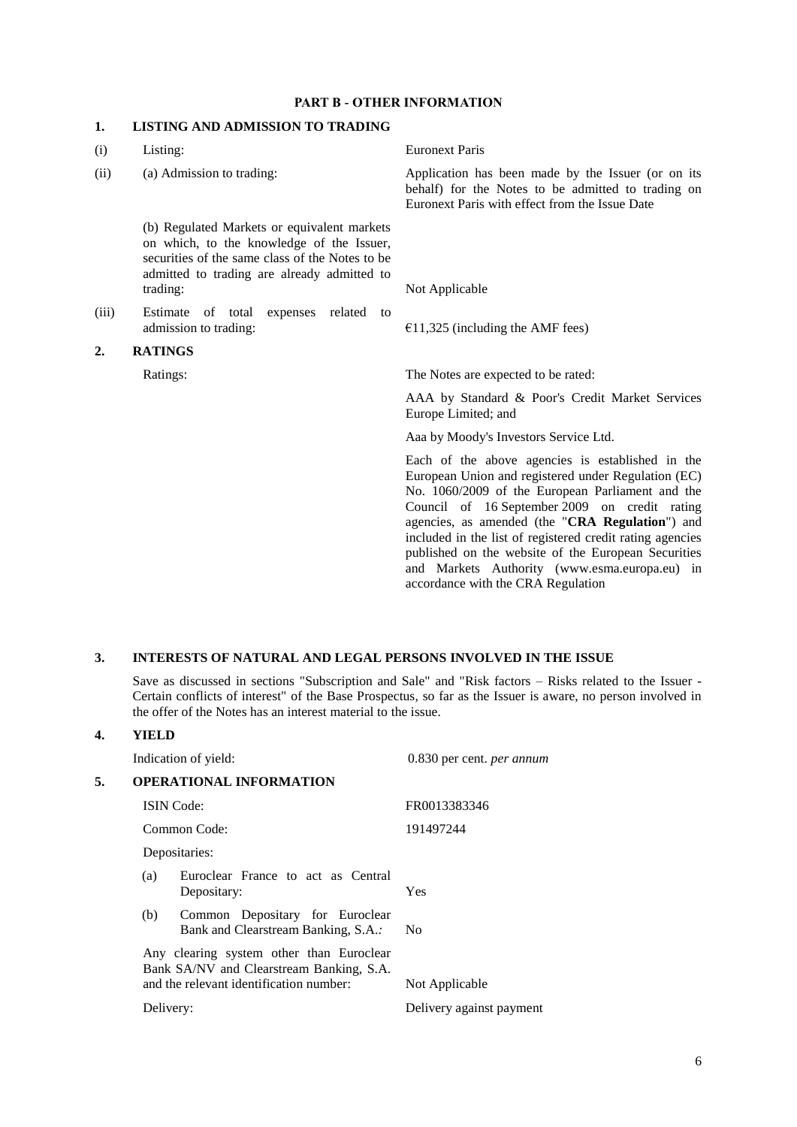# **PART B - OTHER INFORMATION**

# **1. LISTING AND ADMISSION TO TRADING**

| (i)   | Listing:                                                                                                                                                                                               | <b>Euronext Paris</b>                                                                                                                                                                                                                                                                                                                                                                                                                                                      |
|-------|--------------------------------------------------------------------------------------------------------------------------------------------------------------------------------------------------------|----------------------------------------------------------------------------------------------------------------------------------------------------------------------------------------------------------------------------------------------------------------------------------------------------------------------------------------------------------------------------------------------------------------------------------------------------------------------------|
| (ii)  | (a) Admission to trading:                                                                                                                                                                              | Application has been made by the Issuer (or on its<br>behalf) for the Notes to be admitted to trading on<br>Euronext Paris with effect from the Issue Date                                                                                                                                                                                                                                                                                                                 |
|       | (b) Regulated Markets or equivalent markets<br>on which, to the knowledge of the Issuer,<br>securities of the same class of the Notes to be<br>admitted to trading are already admitted to<br>trading: | Not Applicable                                                                                                                                                                                                                                                                                                                                                                                                                                                             |
| (iii) | expenses related<br>Estimate of total<br>to<br>admission to trading:                                                                                                                                   | $£11,325$ (including the AMF fees)                                                                                                                                                                                                                                                                                                                                                                                                                                         |
| 2.    | <b>RATINGS</b>                                                                                                                                                                                         |                                                                                                                                                                                                                                                                                                                                                                                                                                                                            |
|       | Ratings:                                                                                                                                                                                               | The Notes are expected to be rated:                                                                                                                                                                                                                                                                                                                                                                                                                                        |
|       |                                                                                                                                                                                                        | AAA by Standard & Poor's Credit Market Services<br>Europe Limited; and                                                                                                                                                                                                                                                                                                                                                                                                     |
|       |                                                                                                                                                                                                        | Aaa by Moody's Investors Service Ltd.                                                                                                                                                                                                                                                                                                                                                                                                                                      |
|       |                                                                                                                                                                                                        | Each of the above agencies is established in the<br>European Union and registered under Regulation (EC)<br>No. 1060/2009 of the European Parliament and the<br>Council of 16 September 2009 on credit rating<br>agencies, as amended (the "CRA Regulation") and<br>included in the list of registered credit rating agencies<br>published on the website of the European Securities<br>and Markets Authority (www.esma.europa.eu) in<br>accordance with the CRA Regulation |
|       |                                                                                                                                                                                                        |                                                                                                                                                                                                                                                                                                                                                                                                                                                                            |

# **3. INTERESTS OF NATURAL AND LEGAL PERSONS INVOLVED IN THE ISSUE**

Save as discussed in sections "Subscription and Sale" and "Risk factors – Risks related to the Issuer - Certain conflicts of interest" of the Base Prospectus, so far as the Issuer is aware, no person involved in the offer of the Notes has an interest material to the issue.

## **4. YIELD**

|    |           | Indication of yield:                                                                                                            | 0.830 per cent. <i>per annum</i> |
|----|-----------|---------------------------------------------------------------------------------------------------------------------------------|----------------------------------|
| 5. |           | <b>OPERATIONAL INFORMATION</b>                                                                                                  |                                  |
|    |           | <b>ISIN</b> Code:                                                                                                               | FR0013383346                     |
|    |           | Common Code:                                                                                                                    | 191497244                        |
|    |           | Depositaries:                                                                                                                   |                                  |
|    | (a)       | Euroclear France to act as Central<br>Depositary:                                                                               | Yes                              |
|    | (b)       | Common Depositary for Euroclear<br>Bank and Clearstream Banking, S.A.:                                                          | No                               |
|    |           | Any clearing system other than Euroclear<br>Bank SA/NV and Clearstream Banking, S.A.<br>and the relevant identification number: | Not Applicable                   |
|    | Delivery: |                                                                                                                                 | Delivery against payment         |